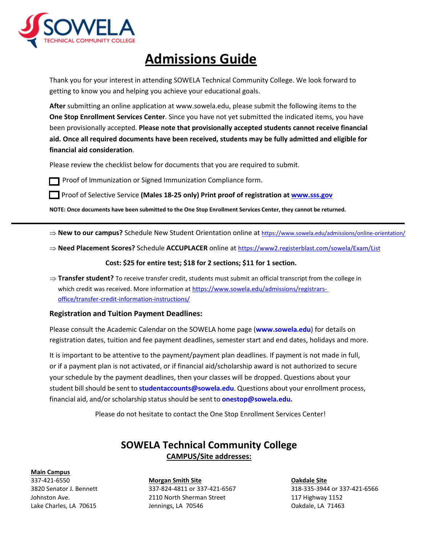

## **Admissions Guide**

 Thank you for your interest in attending SOWELA Technical Community College. We look forward to getting to know you and helping you achieve your educational goals.

 **After** submitting an online application at [www.sowela.edu,](http://www.sowela.edu/) please submit the following items to the **One Stop Enrollment Services Center**. Since you have not yet submitted the indicated items, you have been provisionally accepted. **Please note that provisionally accepted students cannot receive financial aid. Once all required documents have been received, students may be fully admitted and eligible for financial aid consideration**.

Please review the checklist below for documents that you are required to submit.



Proof of Immunization or Signed Immunization Compliance form.

**Proof of Selective Service (Males 18-25 only) Print proof of registration at www.sss.gov** 

**NOTE: Once documents have been submitted to the One Stop Enrollment Services Center, they cannot be returned.** 

- ⇒ New to our campus? Schedule New Student Orientation online at https://www.sowela.edu/admissions/online-orientation/
- ⇒ **Need Placement Scores?** Schedule **ACCUPLACER** online at<https://www2.registerblast.com/sowela/Exam/List>

### **Cost: \$25 for entire test; \$18 for 2 sections; \$11 for 1 section.**

⇒ **Transfer student?** To receive transfer credit, students must submit an official transcript from the college in which credit was received. More information at [https://www.sowela.edu/admissions/registrars](https://www.sowela.edu/admissions/registrars-office/transfer-credit-information-instructions/)[office/transfer-credit-information-instructions/](https://www.sowela.edu/admissions/registrars-office/transfer-credit-information-instructions/) 

### **Registration and Tuition Payment Deadlines:**

 Please consult the Academic Calendar on the SOWELA home page (**www.sowela.edu**) for details on registration dates, tuition and fee payment deadlines, semester start and end dates, holidays and more.

 or if a payment plan is not activated, or if financial aid/scholarship award is not authorized to secure your schedule by the payment deadlines, then your classes will be dropped. Questions about your student bill should be sent to **[studentaccounts@sowela.edu](mailto:studentaccounts@sowela.edu)**. Questions about your enrollment process, financial aid, and/or scholarship status should be sent to **[onestop@sowela.edu.](mailto:onestop@sowela.edu)**  It is important to be attentive to the payment/payment plan deadlines. If payment is not made in full,

Please do not hesitate to contact the One Stop Enrollment Services Center!

## **SOWELA Technical Community College CAMPUS/Site addresses:**

#### **Main Campus**

337-421-6550 3820 Senator J. Bennett Johnston Ave. Lake Charles, LA 70615

**Morgan Smith Site**  337-824-4811 or 337-421-6567 2110 North Sherman Street Jennings, LA 70546

**Oakdale Site**  318-335-3944 or 337-421-6566 117 Highway 1152 Oakdale, LA 71463